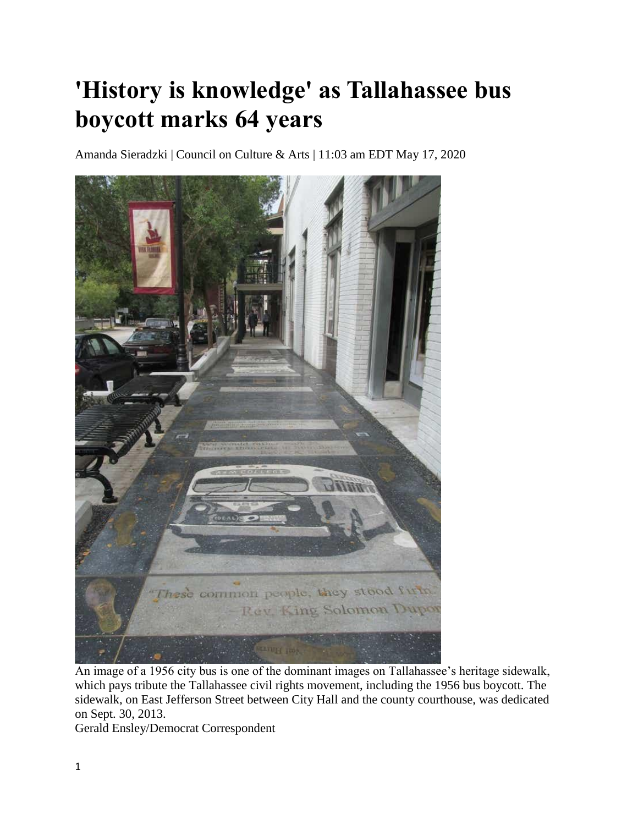## **'History is knowledge' as Tallahassee bus boycott marks 64 years**

Amanda Sieradzki | Council on Culture & Arts | 11:03 am EDT May 17, 2020



An image of a 1956 city bus is one of the dominant images on Tallahassee's heritage sidewalk, which pays tribute the Tallahassee civil rights movement, including the 1956 bus boycott. The sidewalk, on East Jefferson Street between City Hall and the county courthouse, was dedicated on Sept. 30, 2013.

Gerald Ensley/Democrat Correspondent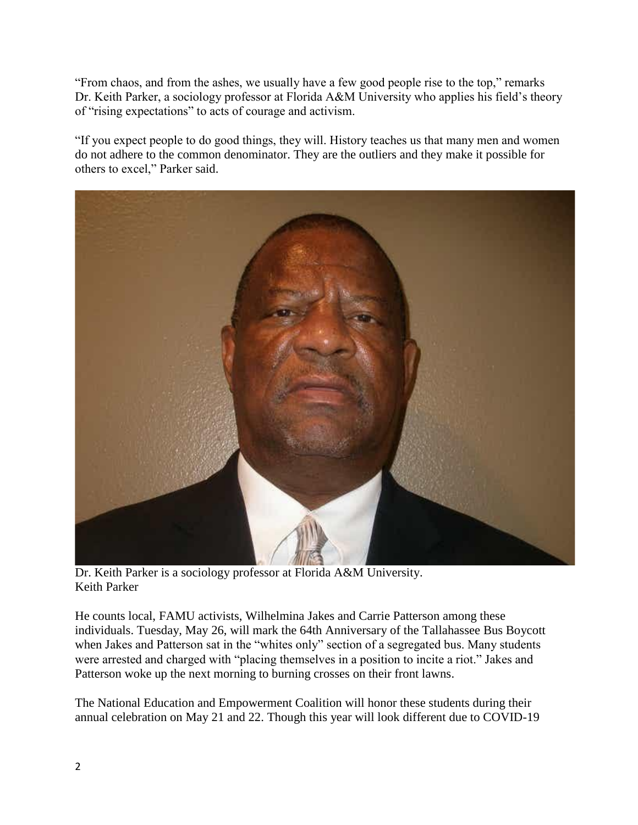"From chaos, and from the ashes, we usually have a few good people rise to the top," remarks Dr. Keith Parker, a sociology professor at Florida A&M University who applies his field's theory of "rising expectations" to acts of courage and activism.

"If you expect people to do good things, they will. History teaches us that many men and women do not adhere to the common denominator. They are the outliers and they make it possible for others to excel," Parker said.



Dr. Keith Parker is a sociology professor at Florida A&M University. Keith Parker

He counts local, FAMU activists, Wilhelmina Jakes and Carrie Patterson among these individuals. Tuesday, May 26, will mark the 64th Anniversary of the Tallahassee Bus Boycott when Jakes and Patterson sat in the "whites only" section of a segregated bus. Many students were arrested and charged with "placing themselves in a position to incite a riot." Jakes and Patterson woke up the next morning to burning crosses on their front lawns.

The National Education and Empowerment Coalition will honor these students during their annual celebration on May 21 and 22. Though this year will look different due to COVID-19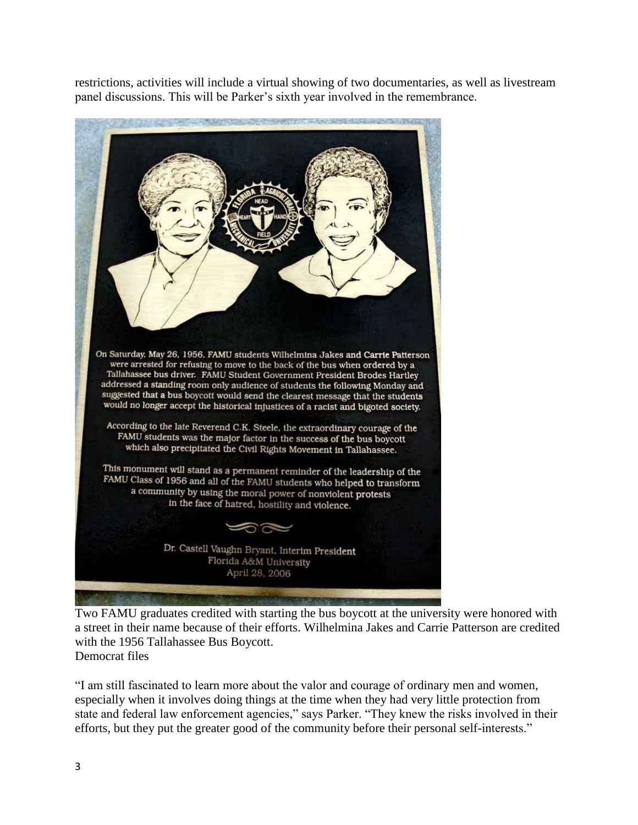restrictions, activities will include a virtual showing of two documentaries, as well as livestream panel discussions. This will be Parker's sixth year involved in the remembrance.



Two FAMU graduates credited with starting the bus boycott at the university were honored with a street in their name because of their efforts. Wilhelmina Jakes and Carrie Patterson are credited with the 1956 Tallahassee Bus Boycott. Democrat files

"I am still fascinated to learn more about the valor and courage of ordinary men and women, especially when it involves doing things at the time when they had very little protection from state and federal law enforcement agencies," says Parker. "They knew the risks involved in their efforts, but they put the greater good of the community before their personal self-interests."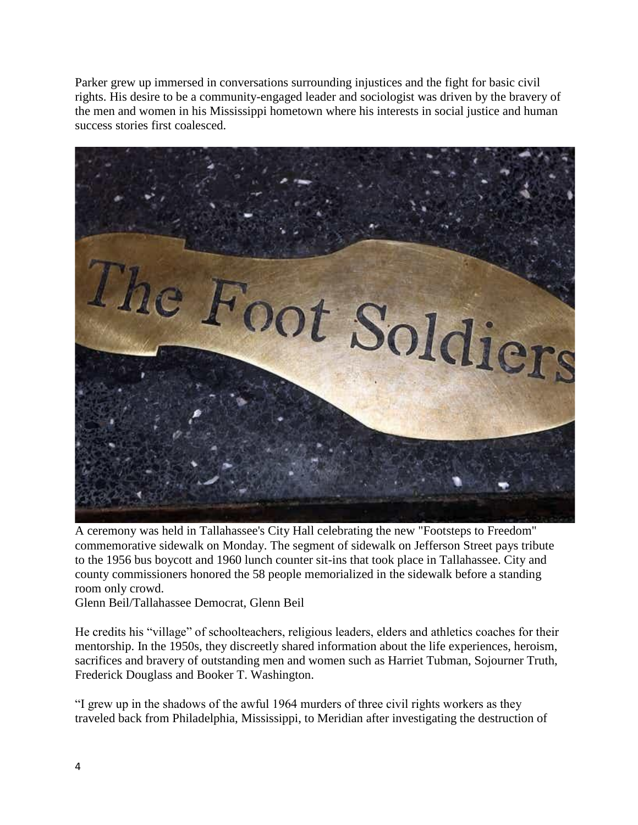Parker grew up immersed in conversations surrounding injustices and the fight for basic civil rights. His desire to be a community-engaged leader and sociologist was driven by the bravery of the men and women in his Mississippi hometown where his interests in social justice and human success stories first coalesced.



A ceremony was held in Tallahassee's City Hall celebrating the new "Footsteps to Freedom" commemorative sidewalk on Monday. The segment of sidewalk on Jefferson Street pays tribute to the 1956 bus boycott and 1960 lunch counter sit-ins that took place in Tallahassee. City and county commissioners honored the 58 people memorialized in the sidewalk before a standing room only crowd.

Glenn Beil/Tallahassee Democrat, Glenn Beil

He credits his "village" of schoolteachers, religious leaders, elders and athletics coaches for their mentorship. In the 1950s, they discreetly shared information about the life experiences, heroism, sacrifices and bravery of outstanding men and women such as Harriet Tubman, Sojourner Truth, Frederick Douglass and Booker T. Washington.

"I grew up in the shadows of the awful 1964 murders of three civil rights workers as they traveled back from Philadelphia, Mississippi, to Meridian after investigating the destruction of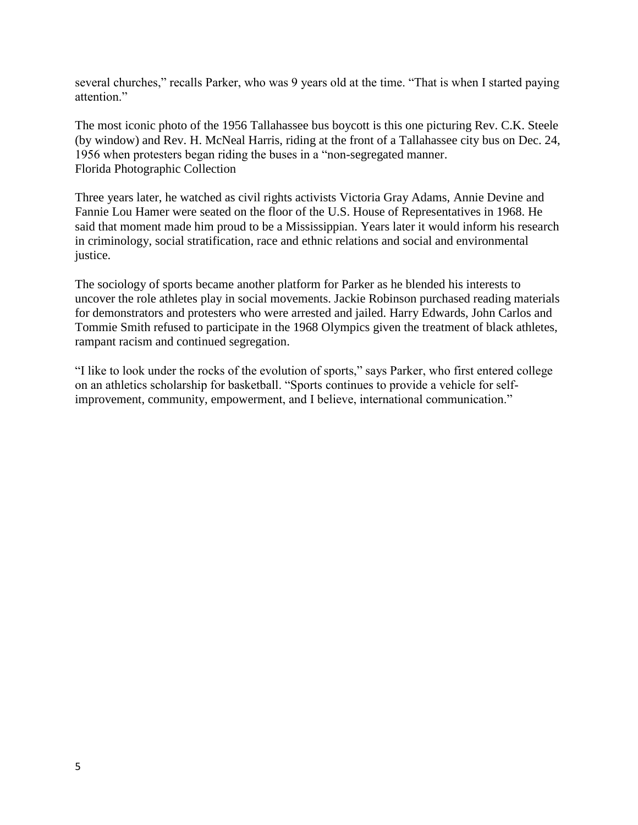several churches," recalls Parker, who was 9 years old at the time. "That is when I started paying attention."

The most iconic photo of the 1956 Tallahassee bus boycott is this one picturing Rev. C.K. Steele (by window) and Rev. H. McNeal Harris, riding at the front of a Tallahassee city bus on Dec. 24, 1956 when protesters began riding the buses in a "non-segregated manner. Florida Photographic Collection

Three years later, he watched as civil rights activists Victoria Gray Adams, Annie Devine and Fannie Lou Hamer were seated on the floor of the U.S. House of Representatives in 1968. He said that moment made him proud to be a Mississippian. Years later it would inform his research in criminology, social stratification, race and ethnic relations and social and environmental justice.

The sociology of sports became another platform for Parker as he blended his interests to uncover the role athletes play in social movements. Jackie Robinson purchased reading materials for demonstrators and protesters who were arrested and jailed. Harry Edwards, John Carlos and Tommie Smith refused to participate in the 1968 Olympics given the treatment of black athletes, rampant racism and continued segregation.

"I like to look under the rocks of the evolution of sports," says Parker, who first entered college on an athletics scholarship for basketball. "Sports continues to provide a vehicle for selfimprovement, community, empowerment, and I believe, international communication."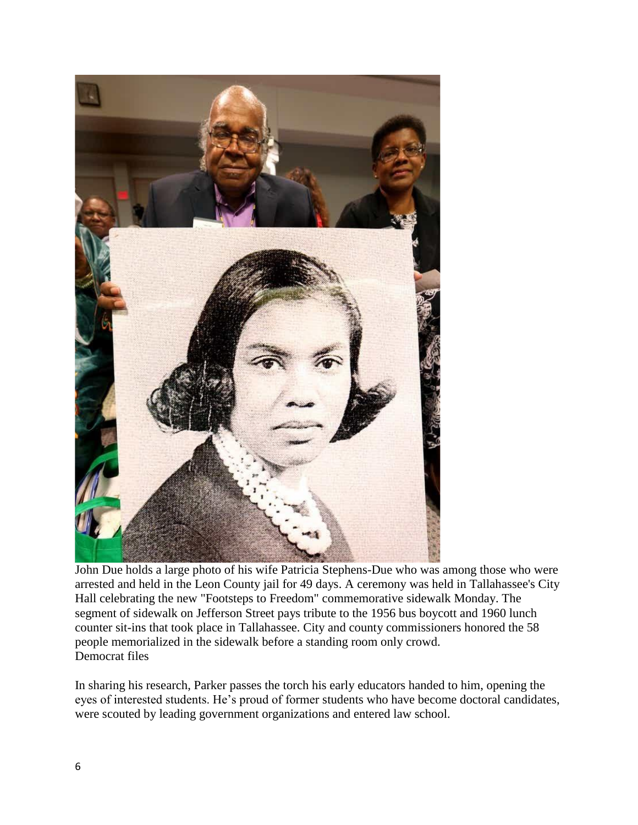

John Due holds a large photo of his wife Patricia Stephens-Due who was among those who were arrested and held in the Leon County jail for 49 days. A ceremony was held in Tallahassee's City Hall celebrating the new "Footsteps to Freedom" commemorative sidewalk Monday. The segment of sidewalk on Jefferson Street pays tribute to the 1956 bus boycott and 1960 lunch counter sit-ins that took place in Tallahassee. City and county commissioners honored the 58 people memorialized in the sidewalk before a standing room only crowd. Democrat files

In sharing his research, Parker passes the torch his early educators handed to him, opening the eyes of interested students. He's proud of former students who have become doctoral candidates, were scouted by leading government organizations and entered law school.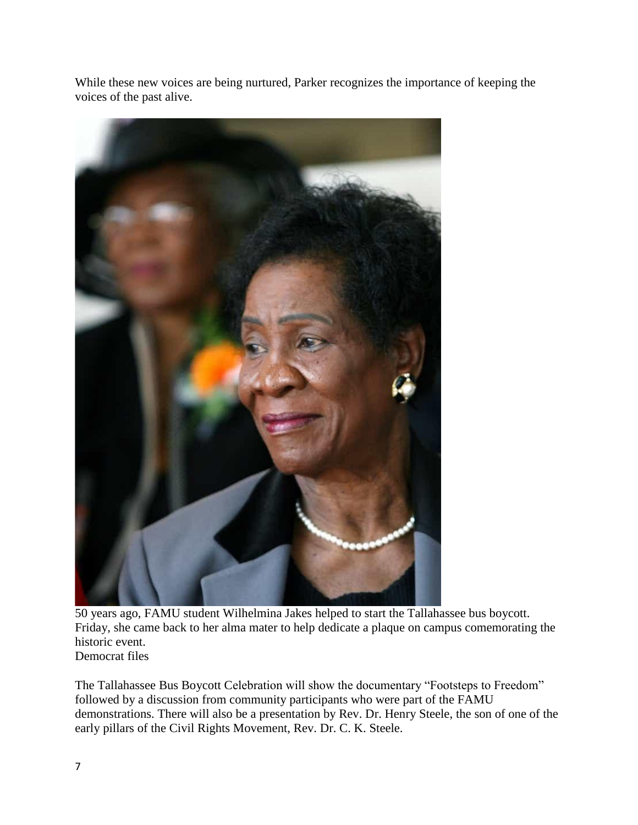While these new voices are being nurtured, Parker recognizes the importance of keeping the voices of the past alive.



50 years ago, FAMU student Wilhelmina Jakes helped to start the Tallahassee bus boycott. Friday, she came back to her alma mater to help dedicate a plaque on campus comemorating the historic event. Democrat files

The Tallahassee Bus Boycott Celebration will show the documentary "Footsteps to Freedom" followed by a discussion from community participants who were part of the FAMU demonstrations. There will also be a presentation by Rev. Dr. Henry Steele, the son of one of the early pillars of the Civil Rights Movement, Rev. Dr. C. K. Steele.